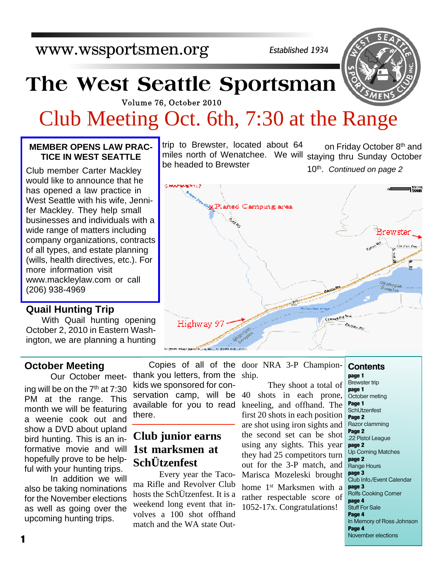*Established 1934*

# **The West Seattle Sportsman**

Volume 76, October 2010

## Club Meeting Oct. 6th, 7:30 at the Range

be headed to Brewster

trip to Brewster, located about 64

#### **MEMBER OPENS LAW PRAC-TICE IN WEST SEATTLE**

Club member Carter Mackley would like to announce that he has opened a law practice in West Seattle with his wife, Jennifer Mackley. They help small businesses and individuals with a wide range of matters including company organizations, contracts of all types, and estate planning (wills, health directives, etc.). For more information visit www.mackleylaw.com or call (206) 938-4969

#### **Quail Hunting Trip**

With Quail hunting opening October 2, 2010 in Eastern Washington, we are planning a hunting

#### **October Meeting**

 Our October meeting will be on the  $7<sup>th</sup>$  at  $7:30$ PM at the range. This month we will be featuring a weenie cook out and show a DVD about upland bird hunting. This is an informative movie and will hopefully prove to be helpful with your hunting trips.

 In addition we will also be taking nominations for the November elections as well as going over the upcoming hunting trips.

Copies of all of the thank you letters, from the kids we sponsored for conservation camp, will be available for you to read there.

## **Club junior earns 1st marksmen at SchÜtzenfest**

 Every year the Tacoma Rifle and Revolver Club hosts the SchÜtzenfest. It is a weekend long event that involves a 100 shot offhand match and the WA state Out-

door NRA 3-P Championship.

 They shoot a total of 40 shots in each prone, kneeling, and offhand. The first 20 shots in each position are shot using iron sights and the second set can be shot using any sights. This year they had 25 competitors turn out for the 3-P match, and Marisca Mozeleski brought home 1st Marksmen with a rather respectable score of 1052-17x. Congratulations!

miles north of Wenatchee. We will staying thru Sunday October on Friday October 8th and 10th . *Continued on page 2*



**Contents page 1** Brewster trip **page 1** October meting **Page 1 SchUtzenfest Page 2** Razor clamming **Page 2** .22 Pistol League **page 2** Up Coming Matches **page 2** Range Hours **page 3** Club Info./Event Calendar **page 3** Rolfs Cooking Corner **page 4** Stuff For Sale **Page 4** In Memory of Ross Johnson **Page 4** November elections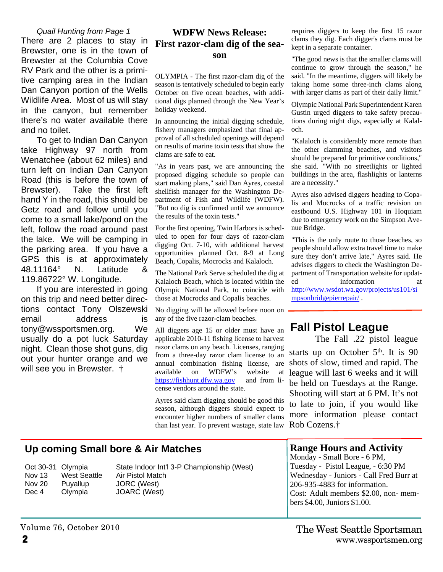#### *Quail Hunting from Page 1*

There are 2 places to stay in Brewster, one is in the town of Brewster at the Columbia Cove RV Park and the other is a primitive camping area in the Indian Dan Canyon portion of the Wells Wildlife Area. Most of us will stay in the canyon, but remember there's no water available there and no toilet.

To get to Indian Dan Canyon take Highway 97 north from Wenatchee (about 62 miles) and turn left on Indian Dan Canyon Road (this is before the town of Brewster). Take the first left hand Y in the road, this should be Getz road and follow until you come to a small lake/pond on the left, follow the road around past the lake. We will be camping in the parking area. If you have a GPS this is at approximately 48.11164° N. Latitude & 119.86722° W. Longitude.

If you are interested in going on this trip and need better directions contact Tony Olszewski email address is tony@wssportsmen.org. We usually do a pot luck Saturday night. Clean those shot guns, dig out your hunter orange and we will see you in Brewster. †

#### **WDFW News Release: First razor-clam dig of the season**

OLYMPIA - The first razor-clam dig of the season is tentatively scheduled to begin early October on five ocean beaches, with additional digs planned through the New Year's holiday weekend.

In announcing the initial digging schedule, fishery managers emphasized that final approval of all scheduled openings will depend on results of marine toxin tests that show the clams are safe to eat.

"As in years past, we are announcing the proposed digging schedule so people can start making plans," said Dan Ayres, coastal shellfish manager for the Washington Department of Fish and Wildlife (WDFW). "But no dig is confirmed until we announce the results of the toxin tests."

For the first opening, Twin Harbors is scheduled to open for four days of razor-clam digging Oct. 7-10, with additional harvest opportunities planned Oct. 8-9 at Long Beach, Copalis, Mocrocks and Kalaloch.

The National Park Serve scheduled the dig at Kalaloch Beach, which is located within the Olympic National Park, to coincide with those at Mocrocks and Copalis beaches.

No digging will be allowed before noon on any of the five razor-clam beaches.

All diggers age 15 or older must have an applicable 2010-11 fishing license to harvest razor clams on any beach. Licenses, ranging from a three-day razor clam license to an annual combination fishing license, are available on WDFW's website at https://fishhunt.dfw.wa.gov and from license vendors around the state.

Ayres said clam digging should be good this season, although diggers should expect to encounter higher numbers of smaller clams than last year. To prevent wastage, state law requires diggers to keep the first 15 razor clams they dig. Each digger's clams must be kept in a separate container.

"The good news is that the smaller clams will continue to grow through the season," he said. "In the meantime, diggers will likely be taking home some three-inch clams along with larger clams as part of their daily limit."

Olympic National Park Superintendent Karen Gustin urged diggers to take safety precautions during night digs, especially at Kalaloch.

"Kalaloch is considerably more remote than the other clamming beaches, and visitors should be prepared for primitive conditions," she said. "With no streetlights or lighted buildings in the area, flashlights or lanterns are a necessity."

Ayres also advised diggers heading to Copalis and Mocrocks of a traffic revision on eastbound U.S. Highway 101 in Hoquiam due to emergency work on the Simpson Avenue Bridge.

"This is the only route to those beaches, so people should allow extra travel time to make sure they don't arrive late," Ayres said. He advises diggers to check the Washington Department of Transportation website for updated information at http://www.wsdot.wa.gov/projects/us101/si mpsonbridgepierrepair/ .

## **Fall Pistol League**

The Fall .22 pistol league starts up on October  $5<sup>th</sup>$ . It is 90 shots of slow, timed and rapid. The league will last 6 weeks and it will be held on Tuesdays at the Range. Shooting will start at 6 PM. It's not to late to join, if you would like more information please contact Rob Cozens.†

### **Up coming Small bore & Air Matches**

Nov 13 West Seattle Air Pistol Match Nov 20 Puyallup JORC (West) Dec 4 Olympia JOARC (West)

Oct 30-31 Olympia State Indoor Int'l 3-P Championship (West)

#### **Range Hours and Activity**

Monday - Small Bore - 6 PM, Tuesday - Pistol League, - 6:30 PM Wednesday - Juniors - Call Fred Burr at 206-935-4883 for information. Cost: Adult members \$2.00, non- members \$4.00, Juniors \$1.00.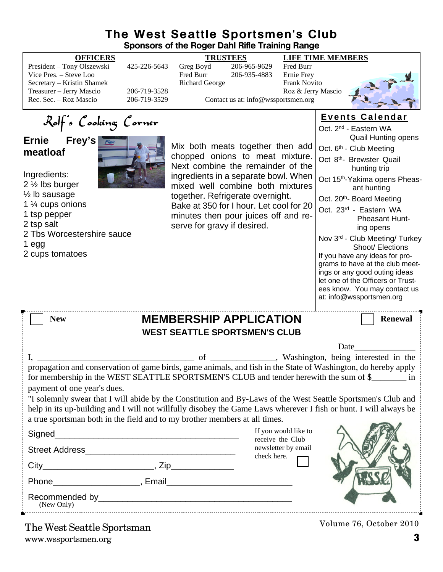#### **The West Seattle Sportsmen's Club Sponsors of the Roger Dahl Rifle Training Range**

|                                                                                                                                   |                              | oponsors or the noger Dann nine Training nange                                                                                                     |                                     |                                                                      |                                                                                                                                                                                                                                                                                                                                                                                                                                             |
|-----------------------------------------------------------------------------------------------------------------------------------|------------------------------|----------------------------------------------------------------------------------------------------------------------------------------------------|-------------------------------------|----------------------------------------------------------------------|---------------------------------------------------------------------------------------------------------------------------------------------------------------------------------------------------------------------------------------------------------------------------------------------------------------------------------------------------------------------------------------------------------------------------------------------|
| <b>OFFICERS</b><br>President - Tony Olszewski<br>Vice Pres. - Steve Loo<br>Secretary - Kristin Shamek<br>Treasurer - Jerry Mascio | 425-226-5643<br>206-719-3528 | <b>TRUSTEES</b><br>Greg Boyd<br>Fred Burr<br><b>Richard George</b>                                                                                 | 206-965-9629<br>206-935-4883        | Fred Burr<br>Ernie Frey<br><b>Frank Novito</b><br>Roz & Jerry Mascio | <b>LIFE TIME MEMBERS</b>                                                                                                                                                                                                                                                                                                                                                                                                                    |
| Rec. Sec. - Roz Mascio                                                                                                            | 206-719-3529                 |                                                                                                                                                    | Contact us at: info@wssportsmen.org |                                                                      |                                                                                                                                                                                                                                                                                                                                                                                                                                             |
| Rolf's Cooking Corner                                                                                                             |                              |                                                                                                                                                    |                                     |                                                                      | Events Calendar                                                                                                                                                                                                                                                                                                                                                                                                                             |
| Frey's<br><b>Ernie</b><br>meatloaf                                                                                                |                              | Mix both meats together then add                                                                                                                   |                                     |                                                                      | Oct. 2 <sup>nd</sup> - Eastern WA<br><b>Quail Hunting opens</b><br>Oct. 6 <sup>th</sup> - Club Meeting                                                                                                                                                                                                                                                                                                                                      |
|                                                                                                                                   |                              | chopped onions to meat mixture.<br>Next combine the remainder of the                                                                               |                                     |                                                                      | Oct 8 <sup>th</sup> - Brewster Quail<br>hunting trip                                                                                                                                                                                                                                                                                                                                                                                        |
| Ingredients:<br>2 $\frac{1}{2}$ lbs burger                                                                                        |                              | ingredients in a separate bowl. When<br>mixed well combine both mixtures                                                                           |                                     |                                                                      | Oct 15 <sup>th</sup> -Yakima opens Pheas-<br>ant hunting                                                                                                                                                                                                                                                                                                                                                                                    |
| $\frac{1}{2}$ lb sausage<br>1 1/4 cups onions<br>1 tsp pepper<br>2 tsp salt                                                       |                              | together. Refrigerate overnight.<br>Bake at 350 for I hour. Let cool for 20<br>minutes then pour juices off and re-<br>serve for gravy if desired. |                                     |                                                                      | Oct. 20 <sup>th</sup> - Board Meeting<br>Oct. 23rd - Eastern WA<br><b>Pheasant Hunt-</b><br>ing opens                                                                                                                                                                                                                                                                                                                                       |
| 2 Tbs Worcestershire sauce<br>1 egg<br>2 cups tomatoes                                                                            |                              |                                                                                                                                                    |                                     |                                                                      | Nov 3rd - Club Meeting/ Turkey<br>Shoot/ Elections<br>If you have any ideas for pro-<br>grams to have at the club meet-<br>ings or any good outing ideas<br>let one of the Officers or Trust-<br>ees know. You may contact us<br>at: info@wssportsmen.org                                                                                                                                                                                   |
| <b>MEMBERSHIP APPLICATION</b><br><b>New</b><br><b>Renewal</b><br><b>WEST SEATTLE SPORTSMEN'S CLUB</b>                             |                              |                                                                                                                                                    |                                     |                                                                      |                                                                                                                                                                                                                                                                                                                                                                                                                                             |
|                                                                                                                                   |                              |                                                                                                                                                    |                                     |                                                                      | Date                                                                                                                                                                                                                                                                                                                                                                                                                                        |
|                                                                                                                                   |                              | of                                                                                                                                                 |                                     |                                                                      | _______________, Washington, being interested in the                                                                                                                                                                                                                                                                                                                                                                                        |
| payment of one year's dues.<br>a true sportsman both in the field and to my brother members at all times.                         |                              |                                                                                                                                                    |                                     |                                                                      | propagation and conservation of game birds, game animals, and fish in the State of Washington, do hereby apply<br>for membership in the WEST SEATTLE SPORTSMEN'S CLUB and tender herewith the sum of \$<br>"I solemnly swear that I will abide by the Constitution and By-Laws of the West Seattle Sportsmen's Club and<br>help in its up-building and I will not willfully disobey the Game Laws wherever I fish or hunt. I will always be |
|                                                                                                                                   |                              |                                                                                                                                                    |                                     | If you would like to<br>receive the Club                             |                                                                                                                                                                                                                                                                                                                                                                                                                                             |
|                                                                                                                                   |                              |                                                                                                                                                    |                                     | newsletter by email                                                  |                                                                                                                                                                                                                                                                                                                                                                                                                                             |
|                                                                                                                                   |                              |                                                                                                                                                    | check here.                         |                                                                      |                                                                                                                                                                                                                                                                                                                                                                                                                                             |
|                                                                                                                                   |                              |                                                                                                                                                    |                                     |                                                                      |                                                                                                                                                                                                                                                                                                                                                                                                                                             |
| (New Only)                                                                                                                        |                              |                                                                                                                                                    |                                     |                                                                      |                                                                                                                                                                                                                                                                                                                                                                                                                                             |
| The West Seattle Sportsman                                                                                                        |                              |                                                                                                                                                    |                                     |                                                                      | Volume 76, October 2010                                                                                                                                                                                                                                                                                                                                                                                                                     |

www.wssportsmen.org **3**